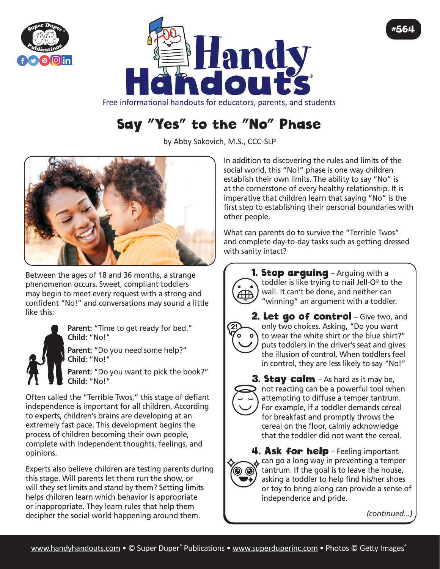



Free informational handouts for educators, parents, and students

## Say "Yes" to the "No" Phase

by Abby Sakovich, M.S., CCC-SLP



Between the ages of 18 and 36 months, a strange phenomenon occurs. Sweet, compliant toddlers may begin to meet every request with a strong and confident "No!" and conversations may sound a little like this:



Parent: "Time to get ready for bed." **Child:** "No!"

Parent: "Do you need some help?" **Child:** "No!"

**Parent:** "Do you want to pick the book?" **Child:** "No!"

Often called the "Terrible Twos," this stage of defiant independence is important for all children. According to experts, children's brains are developing at an extremely fast pace. This development begins the process of children becoming their own people, complete with independent thoughts, feelings, and opinions.

Experts also believe children are testing parents during this stage. Will parents let them run the show, or will they set limits and stand by them? Setting limits helps children learn which behavior is appropriate or inappropriate. They learn rules that help them decipher the social world happening around them.

In addition to discovering the rules and limits of the social world, this "No!" phase is one way children establish their own limits. The ability to say "No" is at the cornerstone of every healthy relationship. It is imperative that children learn that saying "No" is the first step to establishing their personal boundaries with other people.

What can parents do to survive the "Terrible Twos" and complete day-to-day tasks such as getting dressed with sanity intact?



**1. Stop arguing** – Arguing with a toddler is like trying to nail Jell-O® to the wall. It can't be done, and neither can "winning" an argument with a toddler.

2. Let go of control - Give two, and only two choices. Asking, "Do you want to wear the white shirt or the blue shirt?" puts toddlers in the driver's seat and gives the illusion of control. When toddlers feel in control, they are less likely to say "No!"



3. Stay calm - As hard as it may be, not reacting can be a powerful tool when attempting to diffuse a temper tantrum. For example, if a toddler demands cereal for breakfast and promptly throws the cereal on the floor, calmly acknowledge that the toddler did not want the cereal.



4. Ask for help - Feeling important  $\lambda$  can go a long way in preventing a temper tantrum. If the goal is to leave the house, asking a toddler to help find his/her shoes or toy to bring along can provide a sense of independence and pride.

*(continued...)*

#564